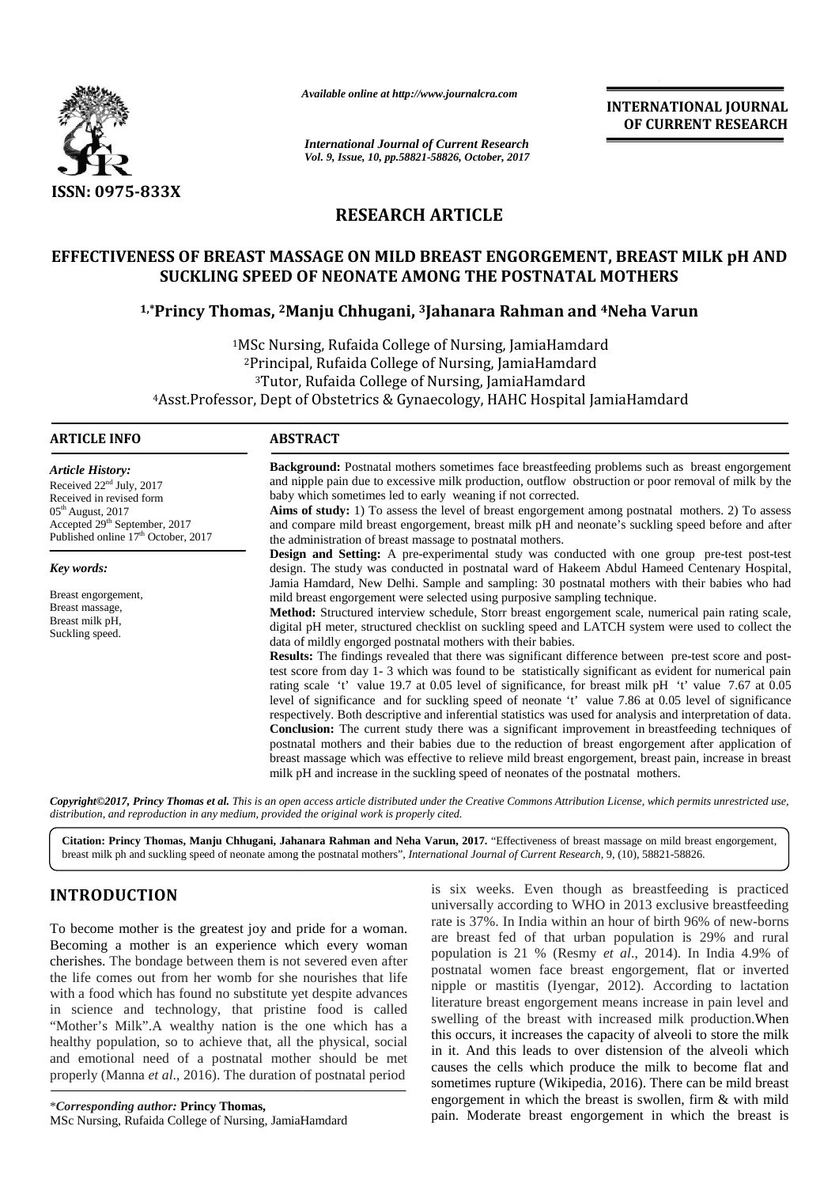

*Available online at http://www.journalcra.com*

*International Journal of Current Research Vol. 9, Issue, 10, pp.58821-58826, October, 2017* **INTERNATIONAL JOURNAL OF CURRENT RESEARCH**

# **RESEARCH ARTICLE**

# **EFFECTIVENESS OF BREAST MASSAGE ON MILD BREAST ENGORGEMENT, BREAST MILK pH AND SUCKLING SPEED OF NEONATE AMONG THE POSTNATAL MOTHERS SUCKLING SPEED OF THE POSTNATAL MOTHERS**

# **1,\*Princy Thomas, <sup>2</sup>Manju Chhugani, <sup>3</sup>Jahanara Rahman and <sup>4</sup>Neha Varun**

<sup>1</sup>MSc Nursing, Rufaida College of Nursing, JamiaHamdard <sup>2</sup>Principal, Rufaida College of Nursing, JamiaHamdard <sup>3</sup>Tutor, Rufaida College of Nursing, JamiaHamdard 4Asst.Professor, Dept of Obstetrics & Gynaecology, HAHC Hospital JamiaHamdard c Nursing, Rufaida College of Nursing, JamiaHamdai<br>rincipal, Rufaida College of Nursing, JamiaHamdard<br>Tutor, Rufaida College of Nursing, JamiaHamdard

# **ARTICLE INFO**

*Article History:* Received 22<sup>nd</sup> July, 2017 Received in revised form  $05<sup>th</sup>$  August, 2017 Accepted 29<sup>th</sup> September, 2017 Published online 17<sup>th</sup> October, 2017

*Key words:*

Breast engorgement, Breast massage, Breast milk pH, Suckling speed.

**Background:** Postnatal mothers sometimes face breastfeeding problems such as breast engorgement and nipple pain due to excessive milk production, outflow obstruction or poor removal of milk by the baby which sometimes led to early weaning if not corrected. Background: Postnatal mothers sometimes face breastfeeding problems such as breast engorgement<br>and nipple pain due to excessive milk production, outflow obstruction or poor removal of milk by the<br>baby which sometimes led t

**Aims of study:** 1) To assess the level of breast engorgement among postnatal mothers. 2) To assess Aims of study: 1) To assess the level of breast engorgement among postnatal mothers. 2) To assess and compare mild breast engorgement, breast milk pH and neonate's suckling speed before and after the administration of breast massage to postnatal mothers.

**Design and Setting:** A pre-experimental study was conducted with one group pre-test post-test design. The study was conducted in postnatal ward of Hakeem Abdul Hameed Centenary Hospital, **Design and Setting:** A pre-experimental study was conducted with one group pre-test post-test design. The study was conducted in postnatal ward of Hakeem Abdul Hameed Centenary Hospital, Jamia Hamdard, New Delhi. Sample a mild breast engorgement were selected using purposive sampling technique.

**Method:** Structured interview schedule, Storr breast engorgement scale, numerical pain rating scale, digital pH meter, structured checklist on suckling speed and LATCH system were used to collect the data of mildly engorged postnatal mothers with their babies. Method: Structured interview schedule, Storr breast engorgement scale, numerical pain rating scale, digital pH meter, structured checklist on suckling speed and LATCH system were used to collect the data of mildly engorged

**Results:** The findings revealed that there was significant difference between pre-test score and post-**Results:** The findings revealed that there was significant difference between pre-test score and post-test score from day 1- 3 which was found to be statistically significant as evident for numerical pain rating scale 't' value 19.7 at 0.05 level of significance, for breast milk pH 't' value 7.67 at 0.05 level of significance and for suckling speed of neonate 't' value 7.86 at 0.05 level of significance respectively. Both descriptive and inferential statistics was used for analysis and interpretation of data. **Conclusion:** The current study there was a significant improvement in breastfeeding techniques of postnatal mothers and their babies due to the reduction of breast engorgement after application of breast massage which was effective to relieve mild breast engorgement, breast pain, increase in breast milk pH and increase in the suckling speed of neonates of the postnatal mothers. rating scale 't' value 19.7 at 0.05 level of significance, for breast milk pH 't<br>level of significance and for suckling speed of neonate 't' value 7.86 at 0.05<br>respectively. Both descriptive and inferential statistics was **Conclusion:** The current study there was a significant improvement in breastfeeding techniques of postnatal mothers and their babies due to the reduction of breast engorgement after application of breast massage which was

**Copyright©2017, Princy Thomas et al.** This is an open access article distributed under the Creative Commons Attribution License, which permits unrestricted use,<br>distribution, and reproduction in any medium, provided the o *distribution, and reproduction in any medium, provided the original work is properly cited.*

**Citation: Princy Thomas, Manju Chhugani, Jahanara Rahman and Neha Varun, 2017.** "Effectiveness of breast massage on mild breast engorgement, breast milk ph and suckling speed of neonate among the postnatal mothers", *International Journal of Current Research*, 9, (10), 58821-58826.

# **INTRODUCTION INTRODUCTION**

To become mother is the greatest joy and pride for a woman. Becoming a mother is an experience which every woman cherishes. The bondage between them is not severed even after the life comes out from her womb for she nourishes that life with a food which has found no substitute yet despite advances To become mother is the greatest joy and pride for a woman.<br>
Becoming a mother is an experience which every woman<br>
cherishes. The bondage between them is not severed even after<br>
the life comes out from her womb for she nou "Mother's Milk". A wealthy nation is the one which has a healthy population, so to achieve that, all the physical, social and emotional need of a postnatal mother should be met properly (Manna *et al.*, 2016). The duration of postnatal period

\**Corresponding author:* **Princy Thomas,** MSc Nursing, Rufaida College of Nursing, JamiaHamdard

is six weeks. Even though as breastfeeding is practiced universally according to WHO in 2013 exclusive breastfeeding rate is 37%. In India within an hour of birth 96% of new-borns are breast fed of that urban population is 29% and rural population is 21 % (Resmy *et al*., 2014). In India 4.9% of postnatal women face breast engorgement, flat or inverted nipple or mastitis (Iyengar, 2012). According to lactation literature breast engorgement means increase in pain level and swelling of the breast with increased milk production.When this occurs, it increases the capacity of alveoli to store the milk in it. And this leads to over distension of the alveoli which in it. And this leads to over distension of the alveoli which causes the cells which produce the milk to become flat and sometimes rupture (Wikipedia, 2016). There can be mild breast engorgement in which the breast is swollen, firm & with mild pain. Moderate breast engorgement in which the breast is **INTRODUCTION**<br>
To become mother is the greatest joy and pride for a woman.<br>
The signally according to WHO in 2013 exclusive breastfeeding<br>
Becoming a mother is an experience which every woman<br>
Becoming a mother is an exp **THE CURRENT IS CURRENT IS CURRENT RESEARCH IS CURRENT RESEARCH IS CURRENT RESEARCH IS CURRENT RESEARCH IS CURRENT RESEARCH IS CURRENT RESEARCH IS CURRENT RESEARCH IS CURRENT RESEARCH IS CURRENT RESEARCH IS CURRENT RESEAR**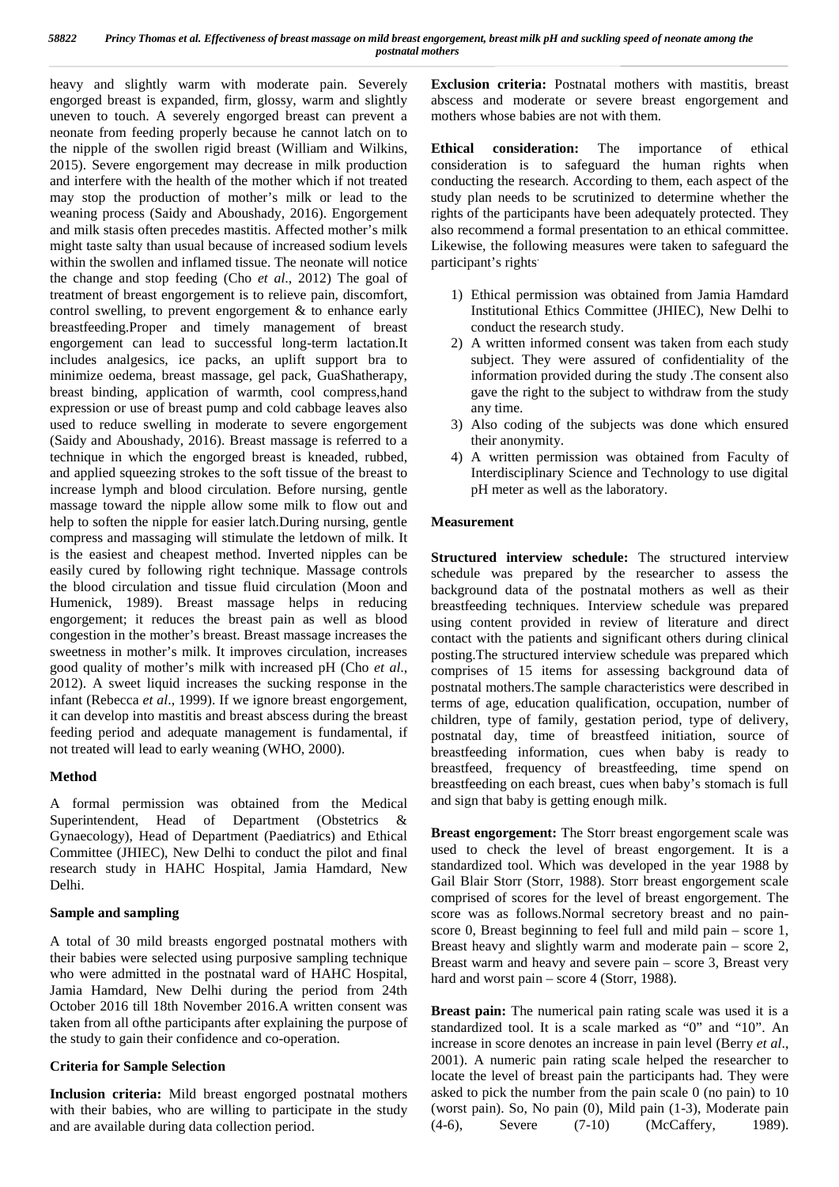heavy and slightly warm with moderate pain. Severely engorged breast is expanded, firm, glossy, warm and slightly uneven to touch. A severely engorged breast can prevent a neonate from feeding properly because he cannot latch on to the nipple of the swollen rigid breast (William and Wilkins, 2015). Severe engorgement may decrease in milk production and interfere with the health of the mother which if not treated may stop the production of mother's milk or lead to the weaning process (Saidy and Aboushady, 2016). Engorgement and milk stasis often precedes mastitis. Affected mother's milk might taste salty than usual because of increased sodium levels within the swollen and inflamed tissue. The neonate will notice the change and stop feeding (Cho *et al*., 2012) The goal of treatment of breast engorgement is to relieve pain, discomfort, control swelling, to prevent engorgement & to enhance early breastfeeding.Proper and timely management of breast engorgement can lead to successful long-term lactation.It includes analgesics, ice packs, an uplift support bra to minimize oedema, breast massage, gel pack, GuaShatherapy, breast binding, application of warmth, cool compress,hand expression or use of breast pump and cold cabbage leaves also used to reduce swelling in moderate to severe engorgement (Saidy and Aboushady, 2016). Breast massage is referred to a technique in which the engorged breast is kneaded, rubbed, and applied squeezing strokes to the soft tissue of the breast to increase lymph and blood circulation. Before nursing, gentle massage toward the nipple allow some milk to flow out and help to soften the nipple for easier latch.During nursing, gentle compress and massaging will stimulate the letdown of milk. It is the easiest and cheapest method. Inverted nipples can be easily cured by following right technique. Massage controls the blood circulation and tissue fluid circulation (Moon and Humenick, 1989). Breast massage helps in reducing engorgement; it reduces the breast pain as well as blood congestion in the mother's breast. Breast massage increases the sweetness in mother's milk. It improves circulation, increases good quality of mother's milk with increased pH (Cho *et al*., 2012). A sweet liquid increases the sucking response in the infant (Rebecca *et al*., 1999). If we ignore breast engorgement, it can develop into mastitis and breast abscess during the breast feeding period and adequate management is fundamental, if not treated will lead to early weaning (WHO, 2000).

# **Method**

A formal permission was obtained from the Medical Superintendent, Head of Department (Obstetrics & Gynaecology), Head of Department (Paediatrics) and Ethical Committee (JHIEC), New Delhi to conduct the pilot and final research study in HAHC Hospital, Jamia Hamdard, New Delhi.

# **Sample and sampling**

A total of 30 mild breasts engorged postnatal mothers with their babies were selected using purposive sampling technique who were admitted in the postnatal ward of HAHC Hospital, Jamia Hamdard, New Delhi during the period from 24th October 2016 till 18th November 2016.A written consent was taken from all ofthe participants after explaining the purpose of the study to gain their confidence and co-operation.

# **Criteria for Sample Selection**

**Inclusion criteria:** Mild breast engorged postnatal mothers with their babies, who are willing to participate in the study and are available during data collection period.

**Exclusion criteria:** Postnatal mothers with mastitis, breast abscess and moderate or severe breast engorgement and mothers whose babies are not with them.

**Ethical consideration:** The importance of ethical consideration is to safeguard the human rights when conducting the research. According to them, each aspect of the study plan needs to be scrutinized to determine whether the rights of the participants have been adequately protected. They also recommend a formal presentation to an ethical committee. Likewise, the following measures were taken to safeguard the participant's rights.

- 1) Ethical permission was obtained from Jamia Hamdard Institutional Ethics Committee (JHIEC), New Delhi to conduct the research study.
- 2) A written informed consent was taken from each study subject. They were assured of confidentiality of the information provided during the study .The consent also gave the right to the subject to withdraw from the study any time.
- 3) Also coding of the subjects was done which ensured their anonymity.
- 4) A written permission was obtained from Faculty of Interdisciplinary Science and Technology to use digital pH meter as well as the laboratory.

# **Measurement**

**Structured interview schedule:** The structured interview schedule was prepared by the researcher to assess the background data of the postnatal mothers as well as their breastfeeding techniques. Interview schedule was prepared using content provided in review of literature and direct contact with the patients and significant others during clinical posting.The structured interview schedule was prepared which comprises of 15 items for assessing background data of postnatal mothers.The sample characteristics were described in terms of age, education qualification, occupation, number of children, type of family, gestation period, type of delivery, postnatal day, time of breastfeed initiation, source of breastfeeding information, cues when baby is ready to breastfeed, frequency of breastfeeding, time spend on breastfeeding on each breast, cues when baby's stomach is full and sign that baby is getting enough milk.

**Breast engorgement:** The Storr breast engorgement scale was used to check the level of breast engorgement. It is a standardized tool. Which was developed in the year 1988 by Gail Blair Storr (Storr, 1988). Storr breast engorgement scale comprised of scores for the level of breast engorgement. The score was as follows.Normal secretory breast and no pain score 0, Breast beginning to feel full and mild pain – score 1, Breast heavy and slightly warm and moderate pain – score 2, Breast warm and heavy and severe pain – score 3, Breast very hard and worst pain – score 4 (Storr, 1988).

**Breast pain:** The numerical pain rating scale was used it is a standardized tool. It is a scale marked as "0" and "10". An increase in score denotes an increase in pain level (Berry *et al*., 2001). A numeric pain rating scale helped the researcher to locate the level of breast pain the participants had. They were asked to pick the number from the pain scale 0 (no pain) to 10 (worst pain). So, No pain (0), Mild pain (1-3), Moderate pain (4-6), Severe (7-10) (McCaffery, 1989).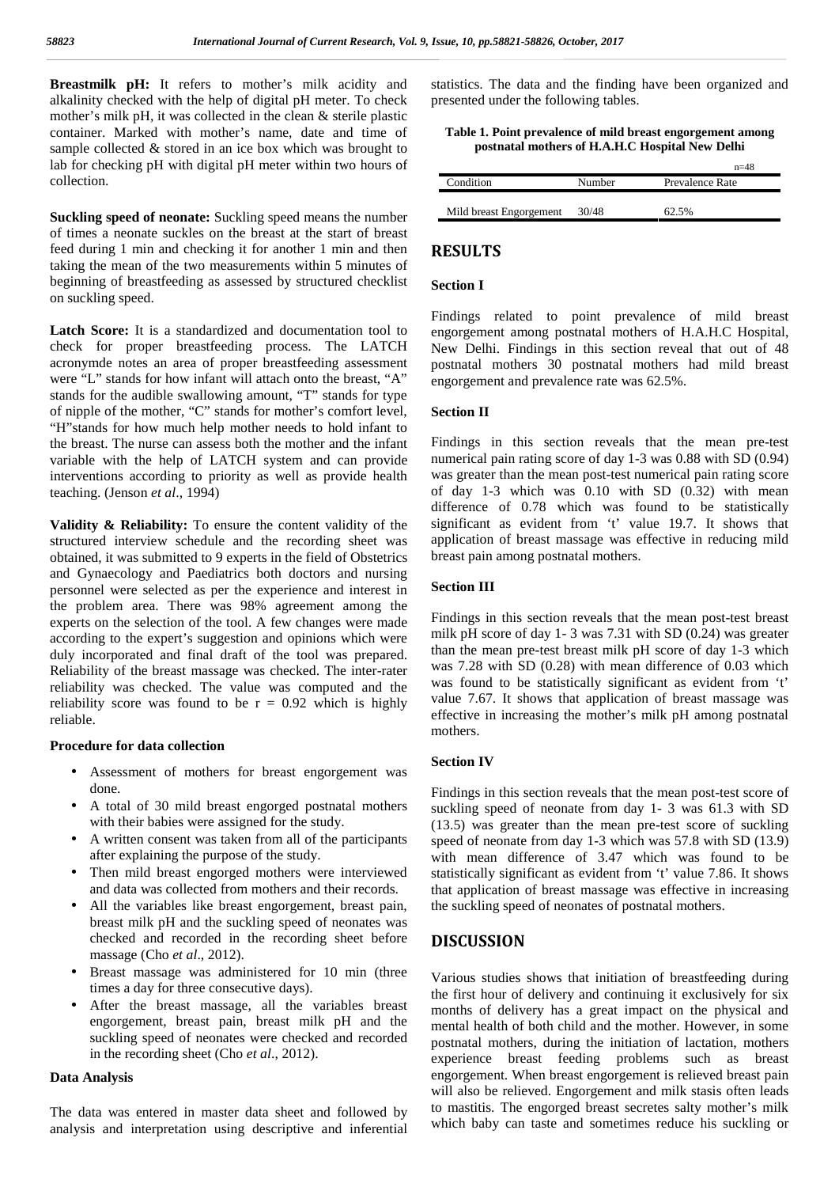**Breastmilk pH:** It refers to mother's milk acidity and alkalinity checked with the help of digital pH meter. To check mother's milk pH, it was collected in the clean & sterile plastic container. Marked with mother's name, date and time of sample collected  $&$  stored in an ice box which was brought to lab for checking pH with digital pH meter within two hours of collection.

**Suckling speed of neonate:** Suckling speed means the number of times a neonate suckles on the breast at the start of breast feed during 1 min and checking it for another 1 min and then taking the mean of the two measurements within 5 minutes of beginning of breastfeeding as assessed by structured checklist on suckling speed.

**Latch Score:** It is a standardized and documentation tool to check for proper breastfeeding process. The LATCH acronymde notes an area of proper breastfeeding assessment were "L" stands for how infant will attach onto the breast, "A" stands for the audible swallowing amount, "T" stands for type of nipple of the mother, "C" stands for mother's comfort level, "H"stands for how much help mother needs to hold infant to the breast. The nurse can assess both the mother and the infant variable with the help of LATCH system and can provide interventions according to priority as well as provide health teaching. (Jenson *et al*., 1994)

**Validity & Reliability:** To ensure the content validity of the structured interview schedule and the recording sheet was obtained, it was submitted to 9 experts in the field of Obstetrics and Gynaecology and Paediatrics both doctors and nursing personnel were selected as per the experience and interest in the problem area. There was 98% agreement among the experts on the selection of the tool. A few changes were made according to the expert's suggestion and opinions which were duly incorporated and final draft of the tool was prepared. Reliability of the breast massage was checked. The inter-rater reliability was checked. The value was computed and the reliability score was found to be  $r = 0.92$  which is highly reliable.

#### **Procedure for data collection**

- Assessment of mothers for breast engorgement was done.
- A total of 30 mild breast engorged postnatal mothers with their babies were assigned for the study.
- A written consent was taken from all of the participants after explaining the purpose of the study.
- Then mild breast engorged mothers were interviewed and data was collected from mothers and their records.
- All the variables like breast engorgement, breast pain, breast milk pH and the suckling speed of neonates was checked and recorded in the recording sheet before massage (Cho *et al*., 2012).
- Breast massage was administered for 10 min (three times a day for three consecutive days).
- After the breast massage, all the variables breast engorgement, breast pain, breast milk pH and the suckling speed of neonates were checked and recorded in the recording sheet (Cho *et al*., 2012).

#### **Data Analysis**

The data was entered in master data sheet and followed by analysis and interpretation using descriptive and inferential statistics. The data and the finding have been organized and presented under the following tables.

#### **Table 1. Point prevalence of mild breast engorgement among postnatal mothers of H.A.H.C Hospital New Delhi**

|        | $n=48$          |
|--------|-----------------|
| Number | Prevalence Rate |
|        |                 |
| 30/48  | 62.5%           |
|        |                 |

### **RESULTS**

## **Section I**

Findings related to point prevalence of mild breast engorgement among postnatal mothers of H.A.H.C Hospital, New Delhi. Findings in this section reveal that out of 48 postnatal mothers 30 postnatal mothers had mild breast engorgement and prevalence rate was 62.5%.

#### **Section II**

Findings in this section reveals that the mean pre-test numerical pain rating score of day 1-3 was 0.88 with SD (0.94) was greater than the mean post-test numerical pain rating score of day 1-3 which was 0.10 with SD (0.32) with mean difference of 0.78 which was found to be statistically significant as evident from 't' value 19.7. It shows that application of breast massage was effective in reducing mild breast pain among postnatal mothers.

#### **Section III**

Findings in this section reveals that the mean post-test breast milk pH score of day 1- 3 was 7.31 with SD (0.24) was greater than the mean pre-test breast milk pH score of day 1-3 which was 7.28 with SD (0.28) with mean difference of 0.03 which was found to be statistically significant as evident from 't' value 7.67. It shows that application of breast massage was effective in increasing the mother's milk pH among postnatal mothers.

#### **Section IV**

Findings in this section reveals that the mean post-test score of suckling speed of neonate from day 1- 3 was 61.3 with SD (13.5) was greater than the mean pre-test score of suckling speed of neonate from day 1-3 which was 57.8 with SD (13.9) with mean difference of 3.47 which was found to be statistically significant as evident from 't' value 7.86. It shows that application of breast massage was effective in increasing the suckling speed of neonates of postnatal mothers.

# **DISCUSSION**

Various studies shows that initiation of breastfeeding during the first hour of delivery and continuing it exclusively for six months of delivery has a great impact on the physical and mental health of both child and the mother. However, in some postnatal mothers, during the initiation of lactation, mothers experience breast feeding problems such as breast engorgement. When breast engorgement is relieved breast pain will also be relieved. Engorgement and milk stasis often leads to mastitis. The engorged breast secretes salty mother's milk which baby can taste and sometimes reduce his suckling or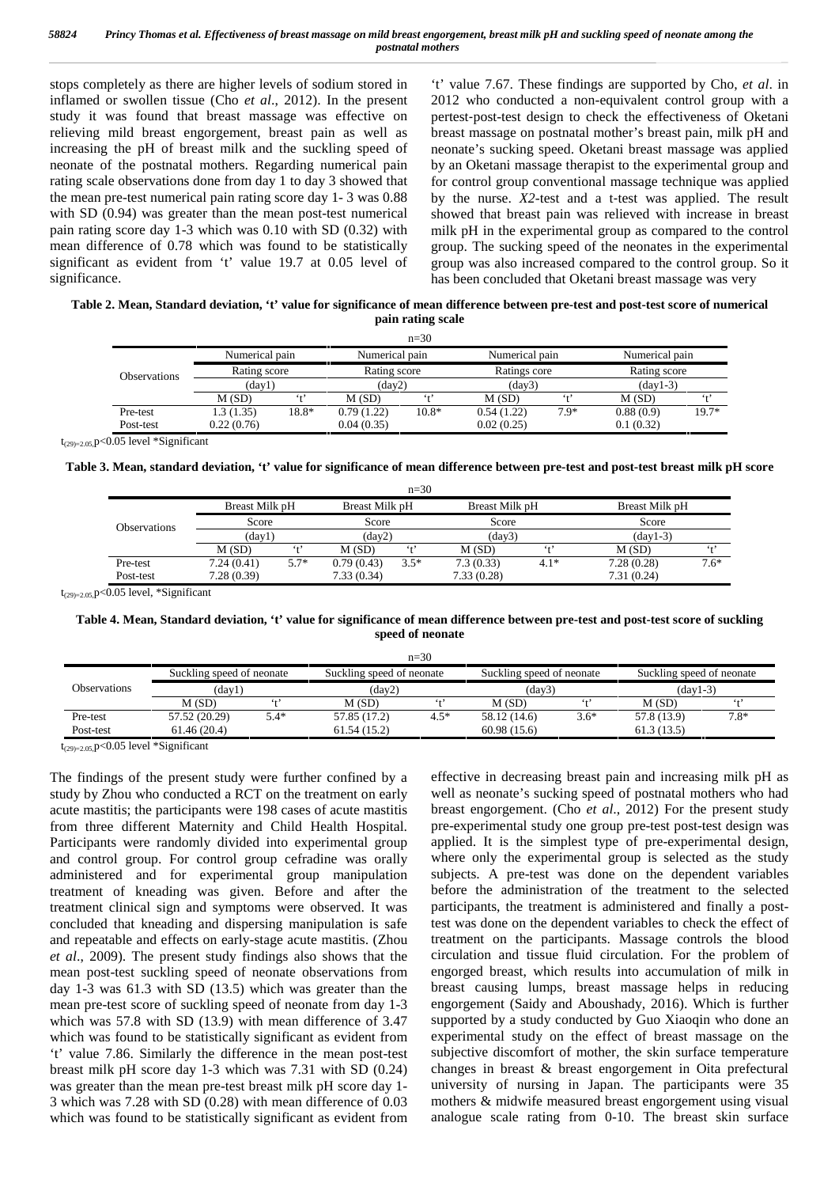stops completely as there are higher levels of sodium stored in inflamed or swollen tissue (Cho *et al*., 2012). In the present study it was found that breast massage was effective on relieving mild breast engorgement, breast pain as well as increasing the pH of breast milk and the suckling speed of neonate of the postnatal mothers. Regarding numerical pain rating scale observations done from day 1 to day 3 showed that the mean pre-test numerical pain rating score day 1- 3 was 0.88 with SD  $(0.94)$  was greater than the mean post-test numerical pain rating score day 1-3 which was 0.10 with SD (0.32) with mean difference of 0.78 which was found to be statistically significant as evident from 't' value 19.7 at 0.05 level of significance.

't' value 7.67. These findings are supported by Cho, *et al*. in 2012 who conducted a non-equivalent control group with a pertest‐post-test design to check the effectiveness of Oketani breast massage on postnatal mother's breast pain, milk pH and neonate's sucking speed. Oketani breast massage was applied by an Oketani massage therapist to the experimental group and for control group conventional massage technique was applied by the nurse. *X2*-test and a t-test was applied. The result showed that breast pain was relieved with increase in breast milk pH in the experimental group as compared to the control group. The sucking speed of the neonates in the experimental group was also increased compared to the control group. So it has been concluded that Oketani breast massage was very

### **Table 2. Mean, Standard deviation, 't' value for significance of mean difference between pre-test and post-test score of numerical pain rating scale**

| <b>Observations</b> | Numerical pain<br>Rating score |            | Numerical pain<br>Rating score<br>$\text{(day2)}$ |            | Numerical pain<br>Ratings core<br>(dav3) |            | Numerical pain<br>Rating score<br>$(dav1-3)$ |           |
|---------------------|--------------------------------|------------|---------------------------------------------------|------------|------------------------------------------|------------|----------------------------------------------|-----------|
|                     |                                |            |                                                   |            |                                          |            |                                              |           |
|                     | M(SD)                          | 6.17       |                                                   |            |                                          |            |                                              |           |
|                     | Pre-test                       | 1.3 (1.35) | 18.8*                                             | 0.79(1.22) | $10.8*$                                  | 0.54(1.22) | $7.9*$                                       | 0.88(0.9) |
| Post-test           | 0.22(0.76)                     |            | 0.04(0.35)                                        |            | 0.02(0.25)                               |            | 0.1(0.32)                                    |           |

 $t_{(29)=2.05}$  p<0.05 level \*Significant

| Table 3. Mean, standard deviation, 't' value for significance of mean difference between pre-test and post-test breast milk pH score |  |  |
|--------------------------------------------------------------------------------------------------------------------------------------|--|--|
|                                                                                                                                      |  |  |

| <b>Observations</b> | Breast Milk pH |        | Breast Milk pH  |        | Breast Milk pH |        | Breast Milk pH |         |
|---------------------|----------------|--------|-----------------|--------|----------------|--------|----------------|---------|
|                     | Score          |        | Score           |        | Score          |        | Score          |         |
|                     | (dav1)         |        | $\text{(day2)}$ |        | (dav3)         |        | $(dav1-3)$     |         |
|                     | M(SD)          | 6.1    | M(SD)           | 6.17   | M(SD)          | 6.17   | M(SD)          | $6 + 2$ |
| Pre-test            | 7.24(0.41)     | $5.7*$ | 0.79(0.43)      | $3.5*$ | 7.3(0.33)      | $4.1*$ | 7.28(0.28)     | $7.6*$  |
| Post-test           | 7.28(0.39)     |        | 7.33(0.34)      |        | 7.33(0.28)     |        | 7.31(0.24)     |         |

 $t_{(29)=2.05}$  p<0.05 level, \*Significant

#### **Table 4. Mean, Standard deviation, 't' value for significance of mean difference between pre-test and post-test score of suckling speed of neonate**

|                     |                           |        |                           | $n=30$ |                           |        |                           |        |
|---------------------|---------------------------|--------|---------------------------|--------|---------------------------|--------|---------------------------|--------|
|                     | Suckling speed of neonate |        | Suckling speed of neonate |        | Suckling speed of neonate |        | Suckling speed of neonate |        |
| <b>Observations</b> | (day1)                    |        | (day2)                    |        | (day3)                    |        | $(dav1-3)$                |        |
|                     | M(SD)                     |        | M (SD)                    | د ،    | M(SD)                     |        | M(SD)                     |        |
| Pre-test            | 57.52 (20.29)             | $5.4*$ | 57.85 (17.2)              | $4.5*$ | 58.12 (14.6)              | $3.6*$ | 57.8 (13.9)               | $7.8*$ |
| Post-test           | 61.46(20.4)               |        | 61.54(15.2)               |        | 60.98(15.6)               |        | 61.3(13.5)                |        |
| -----               |                           |        |                           |        |                           |        |                           |        |

 $t_{(29)=2.05}$  p<0.05 level \*Significant

The findings of the present study were further confined by a study by Zhou who conducted a RCT on the treatment on early acute mastitis; the participants were 198 cases of acute mastitis from three different Maternity and Child Health Hospital. Participants were randomly divided into experimental group and control group. For control group cefradine was orally administered and for experimental group manipulation treatment of kneading was given. Before and after the treatment clinical sign and symptoms were observed. It was concluded that kneading and dispersing manipulation is safe and repeatable and effects on early-stage acute mastitis. (Zhou *et al*., 2009). The present study findings also shows that the mean post-test suckling speed of neonate observations from day 1-3 was 61.3 with SD (13.5) which was greater than the mean pre-test score of suckling speed of neonate from day 1-3 which was 57.8 with SD (13.9) with mean difference of 3.47 which was found to be statistically significant as evident from 't' value 7.86. Similarly the difference in the mean post-test breast milk pH score day 1-3 which was 7.31 with SD (0.24) was greater than the mean pre-test breast milk pH score day 1- 3 which was 7.28 with SD (0.28) with mean difference of 0.03 which was found to be statistically significant as evident from

effective in decreasing breast pain and increasing milk pH as well as neonate's sucking speed of postnatal mothers who had breast engorgement. (Cho *et al*., 2012) For the present study pre-experimental study one group pre-test post-test design was applied. It is the simplest type of pre-experimental design, where only the experimental group is selected as the study subjects. A pre-test was done on the dependent variables before the administration of the treatment to the selected participants, the treatment is administered and finally a posttest was done on the dependent variables to check the effect of treatment on the participants. Massage controls the blood circulation and tissue fluid circulation. For the problem of engorged breast, which results into accumulation of milk in breast causing lumps, breast massage helps in reducing engorgement (Saidy and Aboushady, 2016). Which is further supported by a study conducted by Guo Xiaoqin who done an experimental study on the effect of breast massage on the subjective discomfort of mother, the skin surface temperature changes in breast & breast engorgement in Oita prefectural university of nursing in Japan. The participants were 35 mothers & midwife measured breast engorgement using visual analogue scale rating from 0-10. The breast skin surface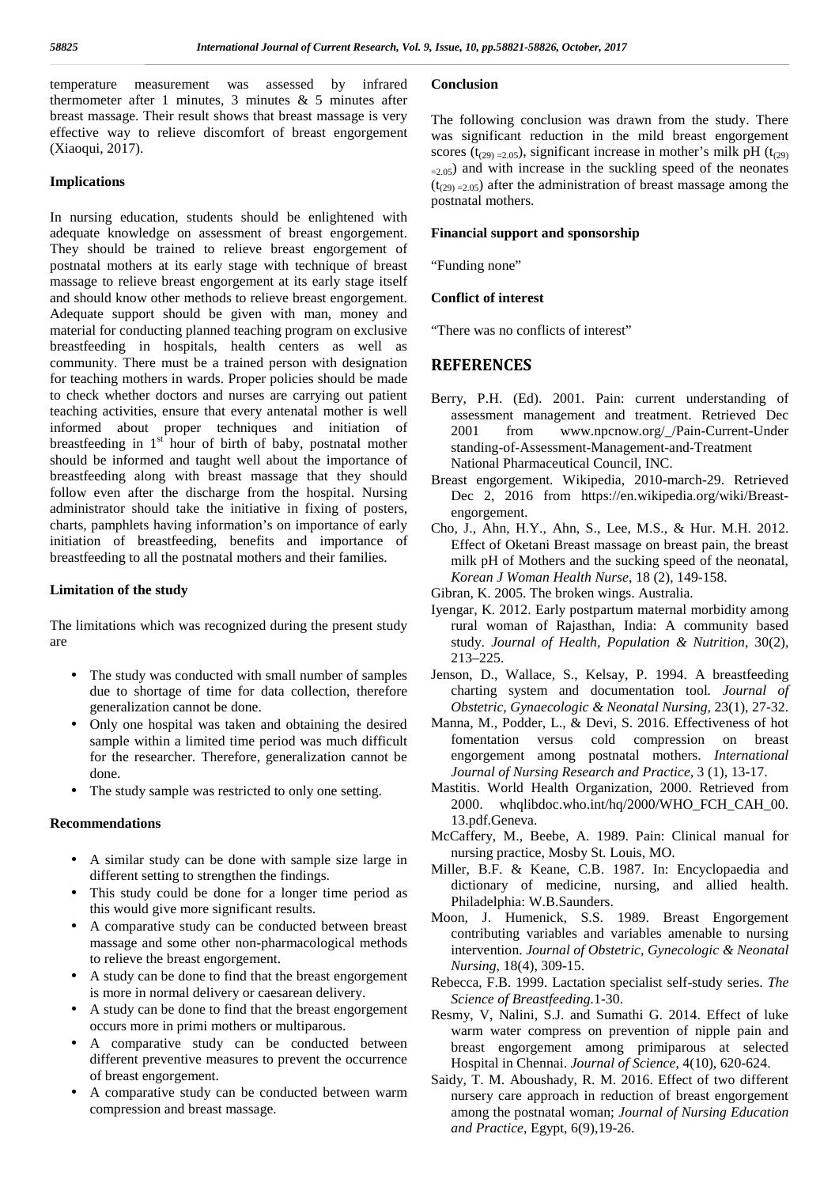temperature measurement was assessed by infrared thermometer after 1 minutes, 3 minutes  $\&$  5 minutes after breast massage. Their result shows that breast massage is very effective way to relieve discomfort of breast engorgement (Xiaoqui, 2017).

#### **Implications**

In nursing education, students should be enlightened with adequate knowledge on assessment of breast engorgement. They should be trained to relieve breast engorgement of postnatal mothers at its early stage with technique of breast massage to relieve breast engorgement at its early stage itself and should know other methods to relieve breast engorgement. Adequate support should be given with man, money and material for conducting planned teaching program on exclusive breastfeeding in hospitals, health centers as well as community. There must be a trained person with designation for teaching mothers in wards. Proper policies should be made to check whether doctors and nurses are carrying out patient teaching activities, ensure that every antenatal mother is well informed about proper techniques and initiation of breastfeeding in  $1<sup>st</sup>$  hour of birth of baby, postnatal mother should be informed and taught well about the importance of breastfeeding along with breast massage that they should follow even after the discharge from the hospital. Nursing administrator should take the initiative in fixing of posters, charts, pamphlets having information's on importance of early initiation of breastfeeding, benefits and importance of breastfeeding to all the postnatal mothers and their families.

#### **Limitation of the study**

The limitations which was recognized during the present study are

- The study was conducted with small number of samples due to shortage of time for data collection, therefore generalization cannot be done.
- Only one hospital was taken and obtaining the desired sample within a limited time period was much difficult for the researcher. Therefore, generalization cannot be done.
- The study sample was restricted to only one setting.

### **Recommendations**

- A similar study can be done with sample size large in different setting to strengthen the findings.
- This study could be done for a longer time period as this would give more significant results.
- A comparative study can be conducted between breast massage and some other non-pharmacological methods to relieve the breast engorgement.
- A study can be done to find that the breast engorgement is more in normal delivery or caesarean delivery.
- A study can be done to find that the breast engorgement occurs more in primi mothers or multiparous.
- A comparative study can be conducted between different preventive measures to prevent the occurrence of breast engorgement.
- A comparative study can be conducted between warm compression and breast massage.

# **Conclusion**

The following conclusion was drawn from the study. There was significant reduction in the mild breast engorgement scores ( $t_{(29)} = 2.05$ ), significant increase in mother's milk pH ( $t_{(29)}$ )  $=2.05$ ) and with increase in the suckling speed of the neonates  $(t<sub>(29)</sub> = 2.05)$  after the administration of breast massage among the postnatal mothers.

#### **Financial support and sponsorship**

"Funding none"

#### **Conflict of interest**

"There was no conflicts of interest"

# **REFERENCES**

- Berry, P.H. (Ed). 2001. Pain: current understanding of assessment management and treatment. Retrieved Dec 2001 from www.npcnow.org/\_/Pain-Current-Under standing-of-Assessment-Management-and-Treatment National Pharmaceutical Council, INC.
- Breast engorgement. Wikipedia, 2010-march-29. Retrieved Dec 2, 2016 from https://en.wikipedia.org/wiki/Breast engorgement.
- Cho, J., Ahn, H.Y., Ahn, S., Lee, M.S., & Hur. M.H. 2012. Effect of Oketani Breast massage on breast pain, the breast milk pH of Mothers and the sucking speed of the neonatal, *Korean J Woman Health Nurse*, 18 (2), 149-158.
- Gibran, K. 2005. The broken wings. Australia.
- Iyengar, K. 2012. Early postpartum maternal morbidity among rural woman of Rajasthan, India: A community based study. *Journal of Health, Population & Nutrition,* 30(2), 213–225.
- Jenson, D., Wallace, S., Kelsay, P. 1994. A breastfeeding charting system and documentation tool*. Journal of Obstetric, Gynaecologic & Neonatal Nursing,* 23(1), 27-32.
- Manna, M., Podder, L., & Devi, S. 2016. Effectiveness of hot fomentation versus cold compression on breast engorgement among postnatal mothers. *International Journal of Nursing Research and Practice*, 3 (1), 13-17.
- Mastitis. World Health Organization, 2000. Retrieved from 2000. whqlibdoc.who.int/hq/2000/WHO\_FCH\_CAH\_00. 13.pdf.Geneva.
- McCaffery, M., Beebe, A. 1989. Pain: Clinical manual for nursing practice, Mosby St. Louis, MO.
- Miller, B.F. & Keane, C.B. 1987. In: Encyclopaedia and dictionary of medicine, nursing, and allied health. Philadelphia: W.B.Saunders.
- Moon, J. Humenick, S.S. 1989. Breast Engorgement contributing variables and variables amenable to nursing intervention. *Journal of Obstetric, Gynecologic & Neonatal Nursing*, 18(4), 309-15.
- Rebecca, F.B. 1999. Lactation specialist self-study series. *The Science of Breastfeeding.*1-30.
- Resmy, V, Nalini, S.J. and Sumathi G. 2014. Effect of luke warm water compress on prevention of nipple pain and breast engorgement among primiparous at selected Hospital in Chennai. *Journal of Science*, 4(10), 620-624.
- Saidy, T. M. Aboushady, R. M. 2016. Effect of two different nursery care approach in reduction of breast engorgement among the postnatal woman; *Journal of Nursing Education and Practice*, Egypt, 6(9),19-26.